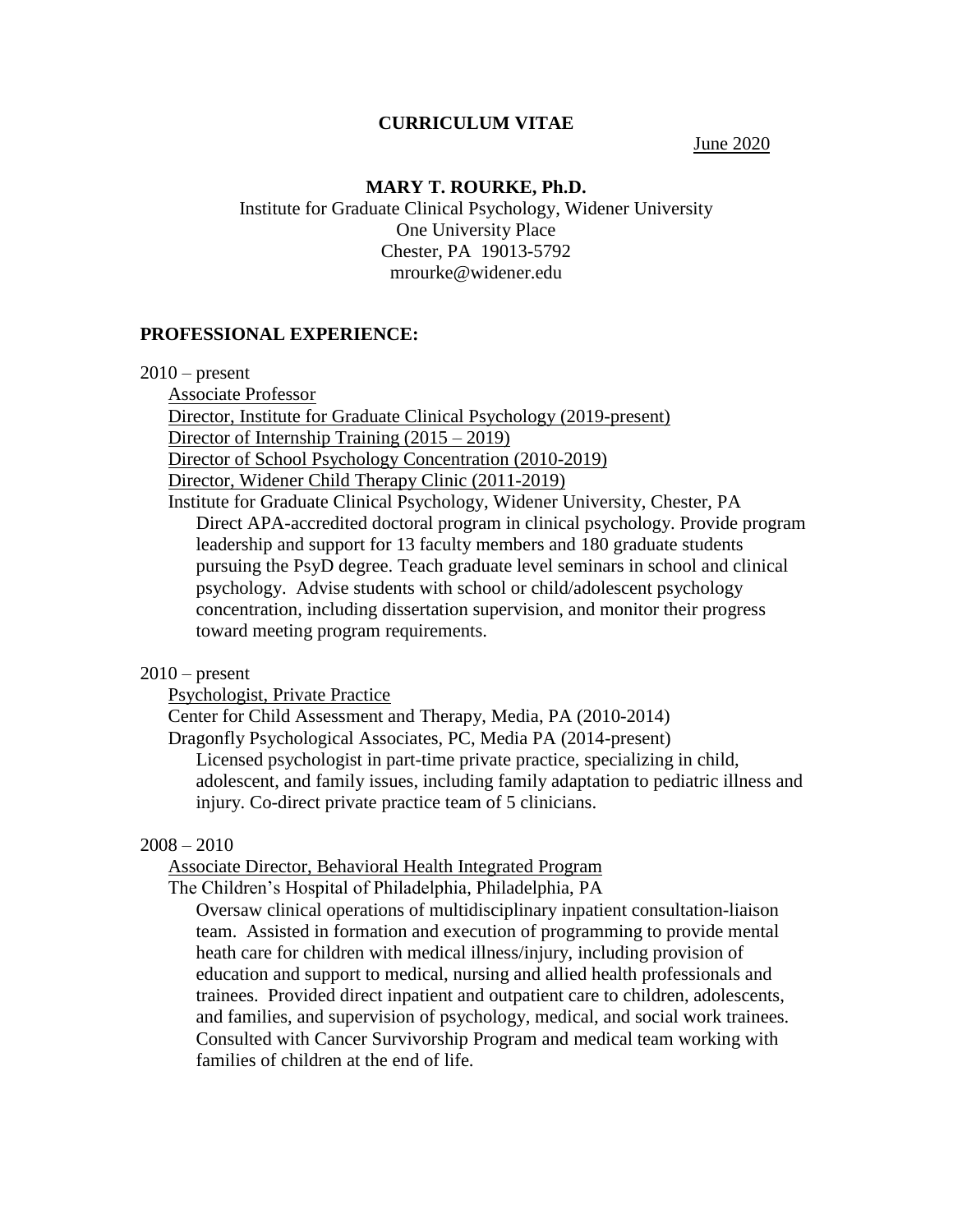#### **CURRICULUM VITAE**

June 2020

#### **MARY T. ROURKE, Ph.D.**

Institute for Graduate Clinical Psychology, Widener University One University Place Chester, PA 19013-5792 mrourke@widener.edu

#### **PROFESSIONAL EXPERIENCE:**

 $2010$  – present

Associate Professor Director, Institute for Graduate Clinical Psychology (2019-present) Director of Internship Training (2015 – 2019) Director of School Psychology Concentration (2010-2019) Director, Widener Child Therapy Clinic (2011-2019) Institute for Graduate Clinical Psychology, Widener University, Chester, PA Direct APA-accredited doctoral program in clinical psychology. Provide program leadership and support for 13 faculty members and 180 graduate students pursuing the PsyD degree. Teach graduate level seminars in school and clinical psychology. Advise students with school or child/adolescent psychology concentration, including dissertation supervision, and monitor their progress toward meeting program requirements.

### $2010$  – present

Psychologist, Private Practice

Center for Child Assessment and Therapy, Media, PA (2010-2014)

Dragonfly Psychological Associates, PC, Media PA (2014-present)

Licensed psychologist in part-time private practice, specializing in child, adolescent, and family issues, including family adaptation to pediatric illness and injury. Co-direct private practice team of 5 clinicians.

#### 2008 – 2010

Associate Director, Behavioral Health Integrated Program

The Children's Hospital of Philadelphia, Philadelphia, PA

Oversaw clinical operations of multidisciplinary inpatient consultation-liaison team. Assisted in formation and execution of programming to provide mental heath care for children with medical illness/injury, including provision of education and support to medical, nursing and allied health professionals and trainees. Provided direct inpatient and outpatient care to children, adolescents, and families, and supervision of psychology, medical, and social work trainees. Consulted with Cancer Survivorship Program and medical team working with families of children at the end of life.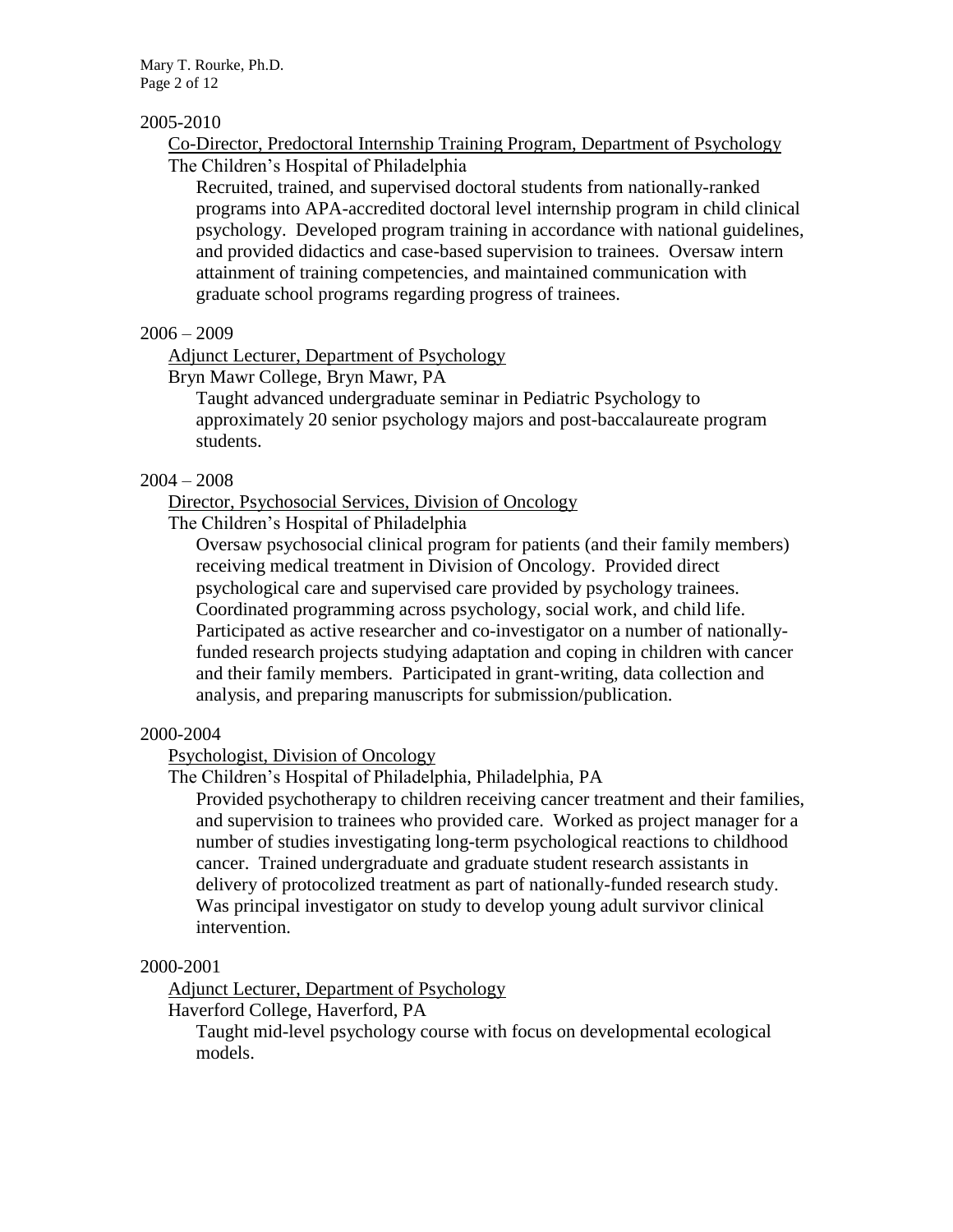Mary T. Rourke, Ph.D. Page 2 of 12

### 2005-2010

Co-Director, Predoctoral Internship Training Program, Department of Psychology The Children's Hospital of Philadelphia

Recruited, trained, and supervised doctoral students from nationally-ranked programs into APA-accredited doctoral level internship program in child clinical psychology. Developed program training in accordance with national guidelines, and provided didactics and case-based supervision to trainees. Oversaw intern attainment of training competencies, and maintained communication with graduate school programs regarding progress of trainees.

### $2006 - 2009$

Adjunct Lecturer, Department of Psychology

Bryn Mawr College, Bryn Mawr, PA

Taught advanced undergraduate seminar in Pediatric Psychology to approximately 20 senior psychology majors and post-baccalaureate program students.

### 2004 – 2008

### Director, Psychosocial Services, Division of Oncology

The Children's Hospital of Philadelphia

Oversaw psychosocial clinical program for patients (and their family members) receiving medical treatment in Division of Oncology. Provided direct psychological care and supervised care provided by psychology trainees. Coordinated programming across psychology, social work, and child life. Participated as active researcher and co-investigator on a number of nationallyfunded research projects studying adaptation and coping in children with cancer and their family members. Participated in grant-writing, data collection and analysis, and preparing manuscripts for submission/publication.

### 2000-2004

Psychologist, Division of Oncology

The Children's Hospital of Philadelphia, Philadelphia, PA

Provided psychotherapy to children receiving cancer treatment and their families, and supervision to trainees who provided care. Worked as project manager for a number of studies investigating long-term psychological reactions to childhood cancer. Trained undergraduate and graduate student research assistants in delivery of protocolized treatment as part of nationally-funded research study. Was principal investigator on study to develop young adult survivor clinical intervention.

### 2000-2001

Adjunct Lecturer, Department of Psychology

Haverford College, Haverford, PA

Taught mid-level psychology course with focus on developmental ecological models.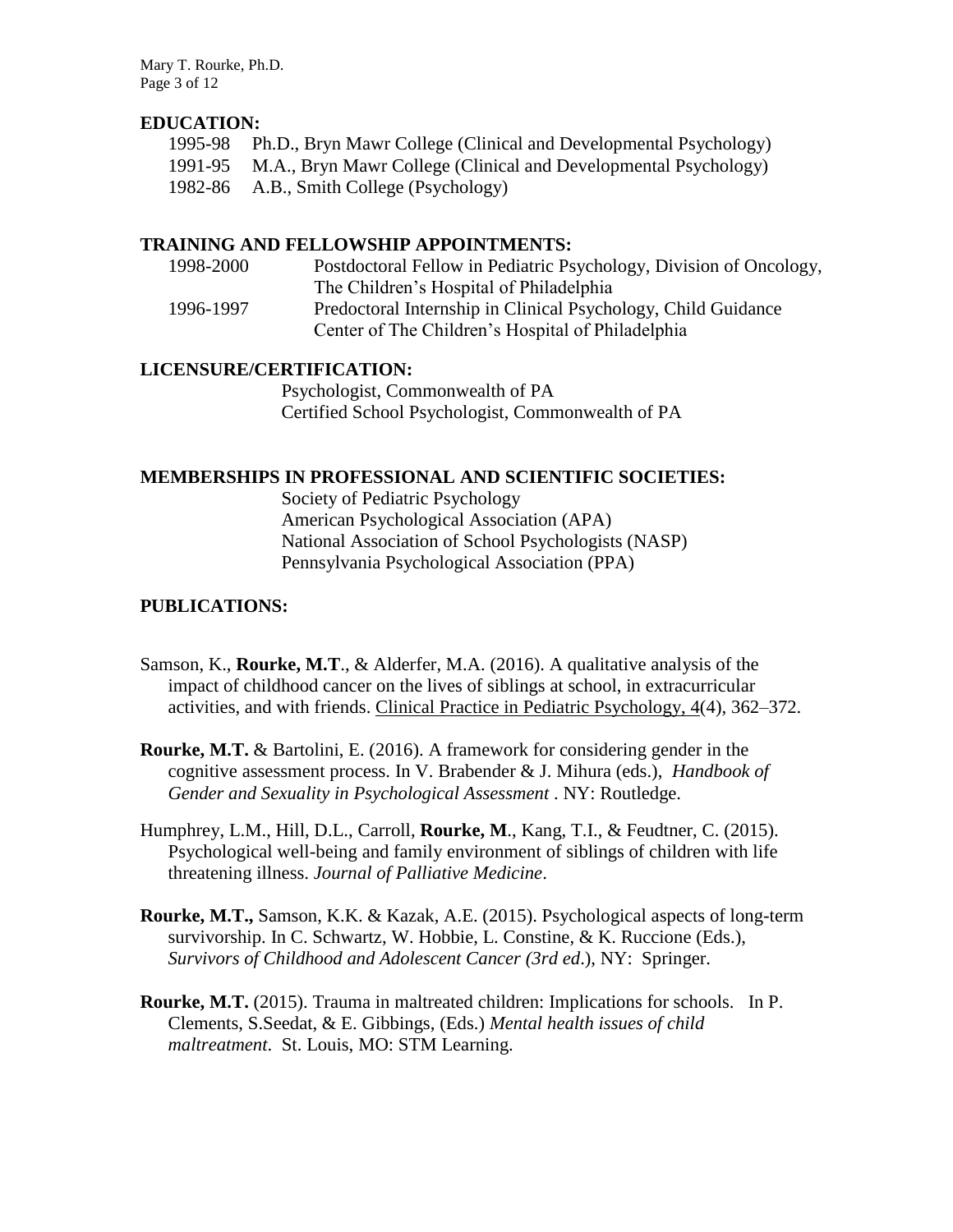Mary T. Rourke, Ph.D. Page 3 of 12

## **EDUCATION:**

- 1995-98 Ph.D., Bryn Mawr College (Clinical and Developmental Psychology)
- 1991-95 M.A., Bryn Mawr College (Clinical and Developmental Psychology)
- 1982-86 A.B., Smith College (Psychology)

## **TRAINING AND FELLOWSHIP APPOINTMENTS:**

| 1998-2000 | Postdoctoral Fellow in Pediatric Psychology, Division of Oncology, |
|-----------|--------------------------------------------------------------------|
|           | The Children's Hospital of Philadelphia                            |
| 1996-1997 | Predoctoral Internship in Clinical Psychology, Child Guidance      |
|           | Center of The Children's Hospital of Philadelphia                  |

## **LICENSURE/CERTIFICATION:**

Psychologist, Commonwealth of PA Certified School Psychologist, Commonwealth of PA

### **MEMBERSHIPS IN PROFESSIONAL AND SCIENTIFIC SOCIETIES:**

Society of Pediatric Psychology American Psychological Association (APA) National Association of School Psychologists (NASP) Pennsylvania Psychological Association (PPA)

### **PUBLICATIONS:**

- Samson, K., **Rourke, M.T**., & Alderfer, M.A. (2016). A qualitative analysis of the impact of childhood cancer on the lives of siblings at school, in extracurricular activities, and with friends. Clinical Practice in Pediatric Psychology, 4(4), 362–372.
- **Rourke, M.T.** & Bartolini, E. (2016). A framework for considering gender in the cognitive assessment process. In V. Brabender & J. Mihura (eds.), *Handbook of Gender and Sexuality in Psychological Assessment* . NY: Routledge.
- Humphrey, L.M., Hill, D.L., Carroll, **Rourke, M**., Kang, T.I., & Feudtner, C. (2015). Psychological well-being and family environment of siblings of children with life threatening illness. *Journal of Palliative Medicine*.
- **Rourke, M.T.,** Samson, K.K. & Kazak, A.E. (2015). Psychological aspects of long-term survivorship. In C. Schwartz, W. Hobbie, L. Constine, & K. Ruccione (Eds.), *Survivors of Childhood and Adolescent Cancer (3rd ed*.), NY: Springer.
- **Rourke, M.T.** (2015). Trauma in maltreated children: Implications for schools. In P. Clements, S.Seedat, & E. Gibbings, (Eds.) *Mental health issues of child maltreatment*. St. Louis, MO: STM Learning.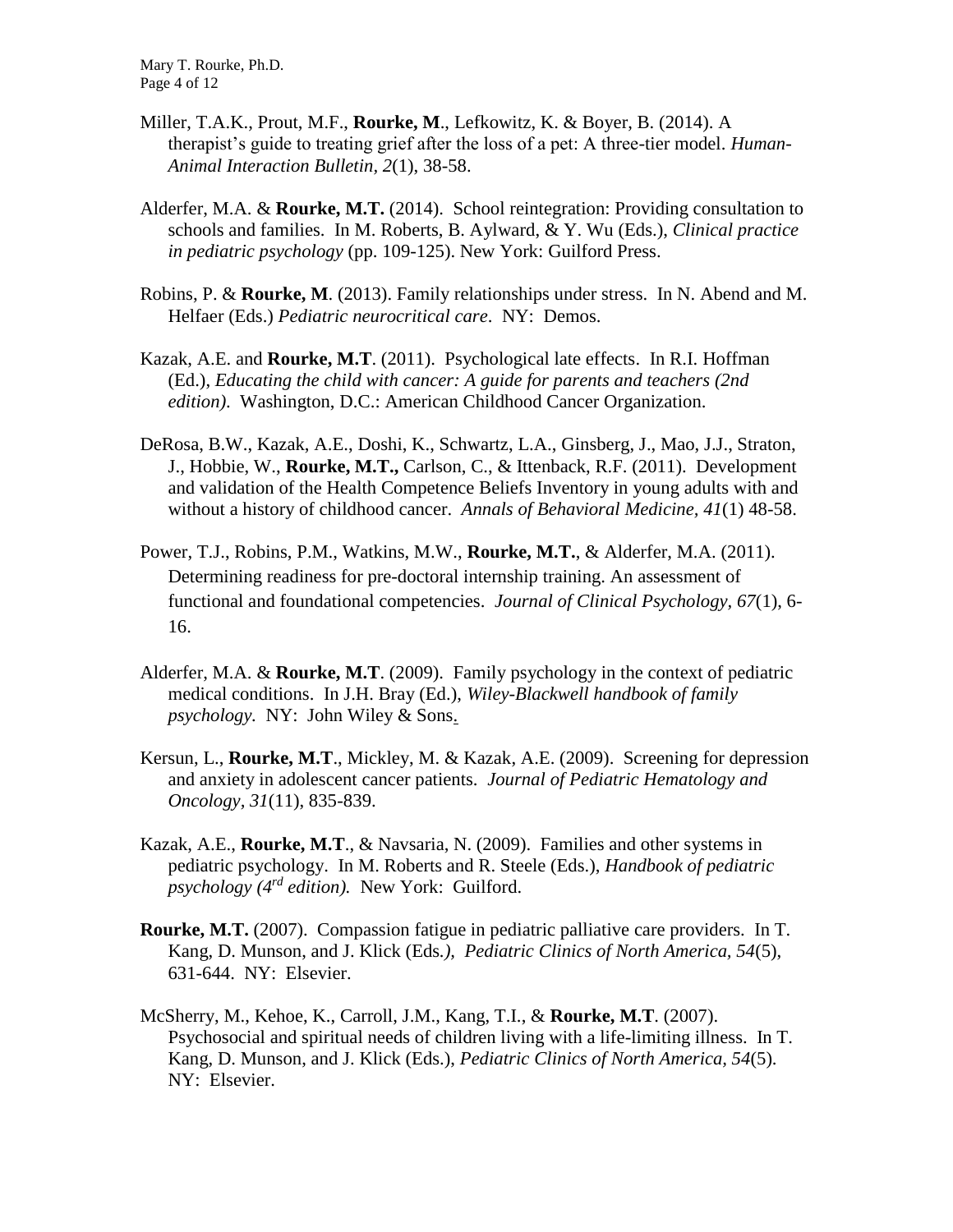Mary T. Rourke, Ph.D. Page 4 of 12

- Miller, T.A.K., Prout, M.F., **Rourke, M**., Lefkowitz, K. & Boyer, B. (2014). A therapist's guide to treating grief after the loss of a pet: A three-tier model. *Human-Animal Interaction Bulletin, 2*(1), 38-58.
- Alderfer, M.A. & **Rourke, M.T.** (2014). School reintegration: Providing consultation to schools and families. In M. Roberts, B. Aylward, & Y. Wu (Eds.), *Clinical practice in pediatric psychology* (pp. 109-125). New York: Guilford Press.
- Robins, P. & **Rourke, M**. (2013). Family relationships under stress. In N. Abend and M. Helfaer (Eds.) *Pediatric neurocritical care*. NY: Demos.
- Kazak, A.E. and **Rourke, M.T**. (2011). Psychological late effects. In R.I. Hoffman (Ed.), *Educating the child with cancer: A guide for parents and teachers (2nd edition)*. Washington, D.C.: American Childhood Cancer Organization.
- DeRosa, B.W., Kazak, A.E., Doshi, K., Schwartz, L.A., Ginsberg, J., Mao, J.J., Straton, J., Hobbie, W., **Rourke, M.T.,** Carlson, C., & Ittenback, R.F. (2011). Development and validation of the Health Competence Beliefs Inventory in young adults with and without a history of childhood cancer. *Annals of Behavioral Medicine, 41*(1) 48-58.
- Power, T.J., Robins, P.M., Watkins, M.W., **Rourke, M.T.**, & Alderfer, M.A. (2011). Determining readiness for pre-doctoral internship training. An assessment of functional and foundational competencies. *Journal of Clinical Psychology, 67*(1), 6- 16.
- Alderfer, M.A. & **Rourke, M.T**. (2009). Family psychology in the context of pediatric medical conditions. In J.H. Bray (Ed.), *Wiley-Blackwell handbook of family psychology.* NY: John Wiley & Sons.
- Kersun, L., **Rourke, M.T**., Mickley, M. & Kazak, A.E. (2009). Screening for depression and anxiety in adolescent cancer patients. *Journal of Pediatric Hematology and Oncology, 31*(11), 835-839.
- Kazak, A.E., **Rourke, M.T**., & Navsaria, N. (2009). Families and other systems in pediatric psychology. In M. Roberts and R. Steele (Eds.), *Handbook of pediatric psychology (4rd edition).* New York: Guilford.
- **Rourke, M.T.** (2007). Compassion fatigue in pediatric palliative care providers. In T. Kang, D. Munson, and J. Klick (Eds*.), Pediatric Clinics of North America, 54*(5), 631-644. NY: Elsevier.
- McSherry, M., Kehoe, K., Carroll, J.M., Kang, T.I., & **Rourke, M.T**. (2007). Psychosocial and spiritual needs of children living with a life-limiting illness. In T. Kang, D. Munson, and J. Klick (Eds.), *Pediatric Clinics of North America, 54*(5). NY: Elsevier.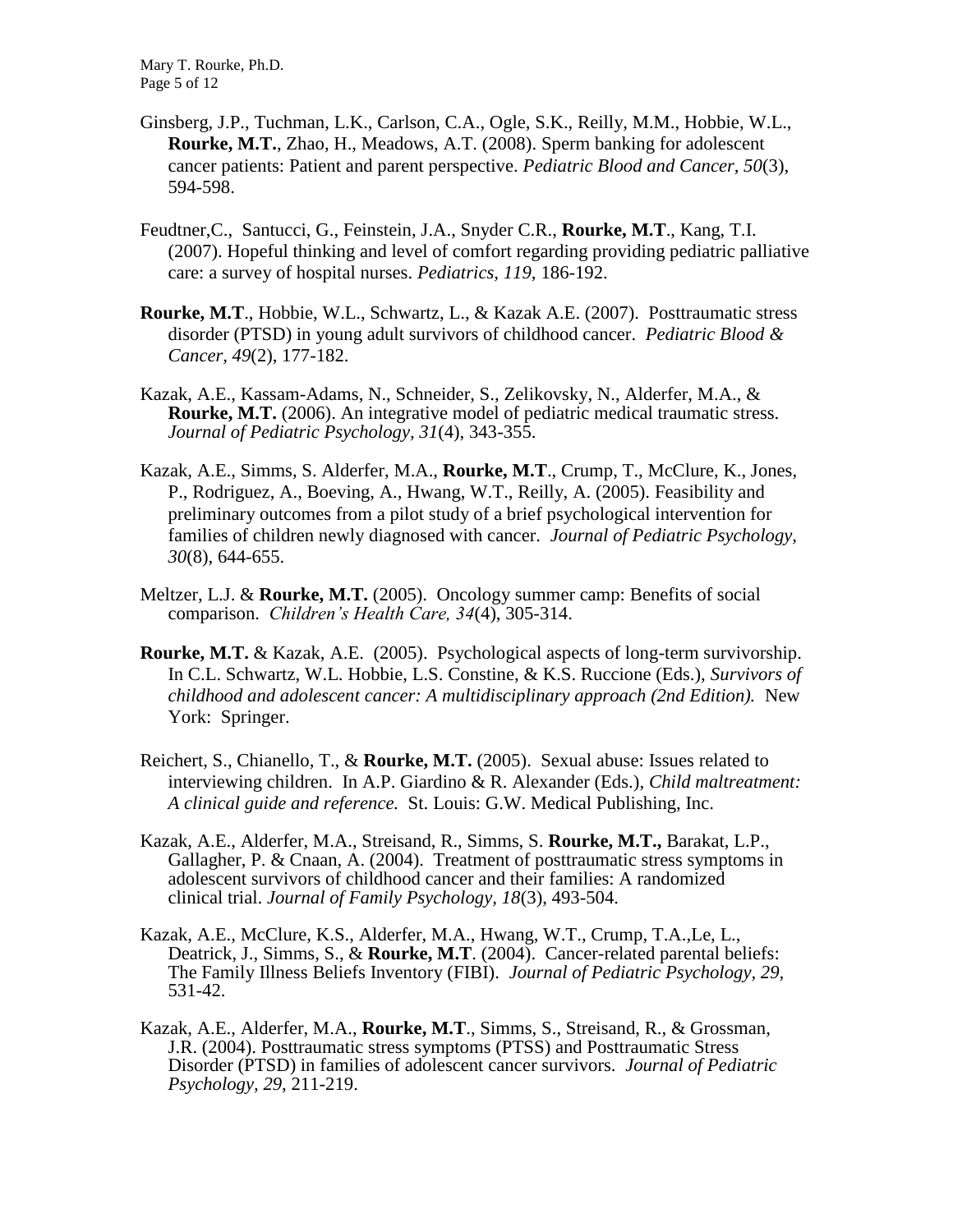Mary T. Rourke, Ph.D. Page 5 of 12

- Ginsberg, J.P., Tuchman, L.K., Carlson, C.A., Ogle, S.K., Reilly, M.M., Hobbie, W.L., **Rourke, M.T.**, Zhao, H., Meadows, A.T. (2008). Sperm banking for adolescent cancer patients: Patient and parent perspective. *Pediatric Blood and Cancer, 50*(3), 594-598.
- Feudtner,C., Santucci, G., Feinstein, J.A., Snyder C.R., **Rourke, M.T**., Kang, T.I. (2007). Hopeful thinking and level of comfort regarding providing pediatric palliative care: a survey of hospital nurses. *Pediatrics, 119*, 186-192.
- **Rourke, M.T**., Hobbie, W.L., Schwartz, L., & Kazak A.E. (2007). Posttraumatic stress disorder (PTSD) in young adult survivors of childhood cancer. *Pediatric Blood & Cancer, 49*(2), 177-182.
- Kazak, A.E., Kassam-Adams, N., Schneider, S., Zelikovsky, N., Alderfer, M.A., & **Rourke, M.T.** (2006). An integrative model of pediatric medical traumatic stress. *Journal of Pediatric Psychology, 31*(4), 343-355.
- Kazak, A.E., Simms, S. Alderfer, M.A., **Rourke, M.T**., Crump, T., McClure, K., Jones, P., Rodriguez, A., Boeving, A., Hwang, W.T., Reilly, A. (2005). Feasibility and preliminary outcomes from a pilot study of a brief psychological intervention for families of children newly diagnosed with cancer. *Journal of Pediatric Psychology, 30*(8), 644-655.
- Meltzer, L.J. & **Rourke, M.T.** (2005). Oncology summer camp: Benefits of social comparison. *Children's Health Care, 34*(4), 305-314.
- **Rourke, M.T.** & Kazak, A.E. (2005). Psychological aspects of long-term survivorship. In C.L. Schwartz, W.L. Hobbie, L.S. Constine, & K.S. Ruccione (Eds.), *Survivors of childhood and adolescent cancer: A multidisciplinary approach (2nd Edition).* New York: Springer.
- Reichert, S., Chianello, T., & **Rourke, M.T.** (2005). Sexual abuse: Issues related to interviewing children. In A.P. Giardino & R. Alexander (Eds.), *Child maltreatment: A clinical guide and reference.* St. Louis: G.W. Medical Publishing, Inc.
- Kazak, A.E., Alderfer, M.A., Streisand, R., Simms, S. **Rourke, M.T.,** Barakat, L.P., Gallagher, P. & Cnaan, A. (2004). Treatment of posttraumatic stress symptoms in adolescent survivors of childhood cancer and their families: A randomized clinical trial. *Journal of Family Psychology, 18*(3), 493-504.
- Kazak, A.E., McClure, K.S., Alderfer, M.A., Hwang, W.T., Crump, T.A.,Le, L., Deatrick, J., Simms, S., & **Rourke, M.T**. (2004). Cancer-related parental beliefs: The Family Illness Beliefs Inventory (FIBI). *Journal of Pediatric Psychology, 29,* 531-42.
- Kazak, A.E., Alderfer, M.A., **Rourke, M.T**., Simms, S., Streisand, R., & Grossman, J.R. (2004). Posttraumatic stress symptoms (PTSS) and Posttraumatic Stress Disorder (PTSD) in families of adolescent cancer survivors. *Journal of Pediatric Psychology, 29*, 211-219.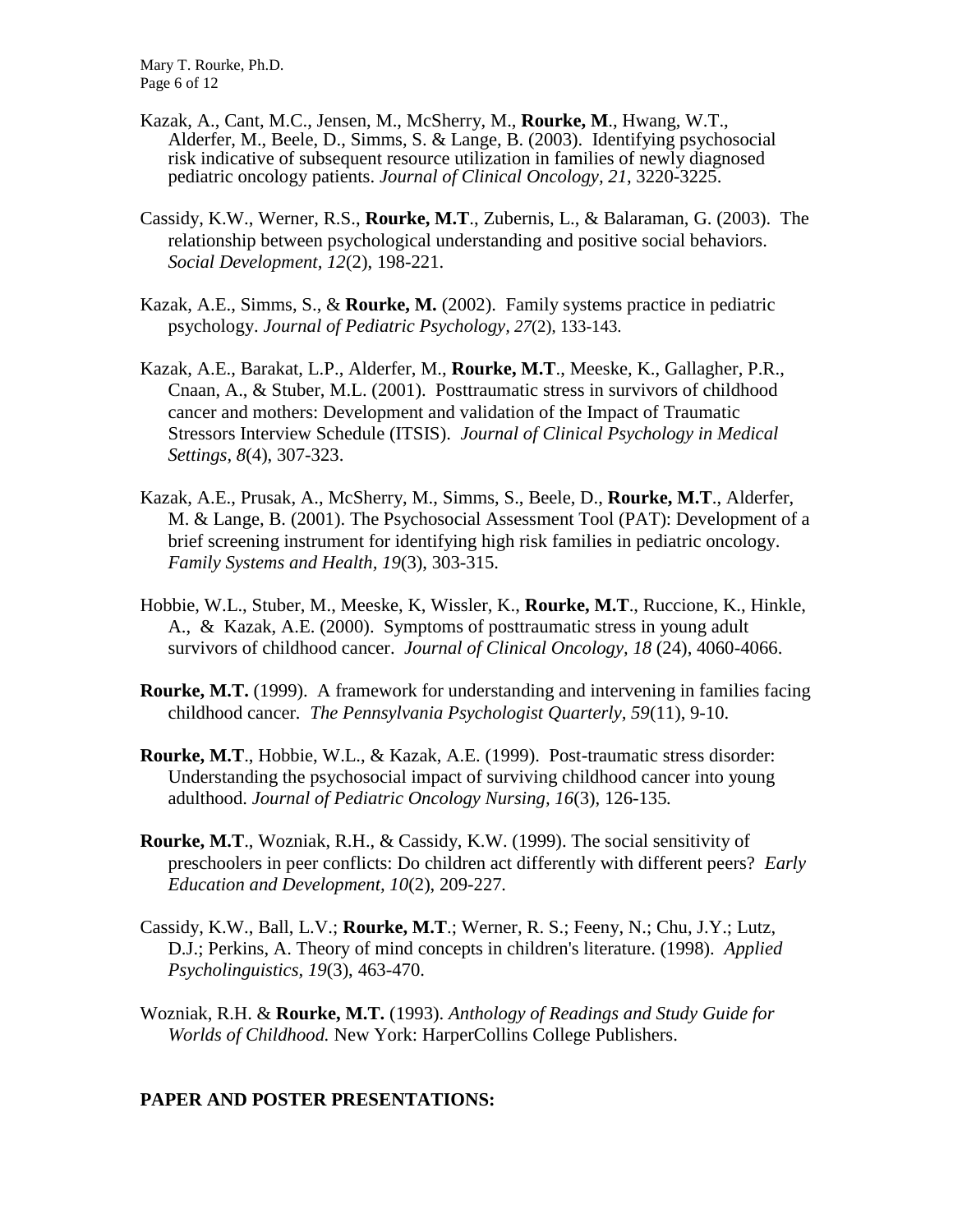Mary T. Rourke, Ph.D. Page 6 of 12

- Kazak, A., Cant, M.C., Jensen, M., McSherry, M., **Rourke, M**., Hwang, W.T., Alderfer, M., Beele, D., Simms, S. & Lange, B. (2003). Identifying psychosocial risk indicative of subsequent resource utilization in families of newly diagnosed pediatric oncology patients. *Journal of Clinical Oncology, 21*, 3220-3225.
- Cassidy, K.W., Werner, R.S., **Rourke, M.T**., Zubernis, L., & Balaraman, G. (2003). The relationship between psychological understanding and positive social behaviors. *Social Development, 12*(2), 198-221.
- Kazak, A.E., Simms, S., & **Rourke, M.** (2002). Family systems practice in pediatric psychology. *Journal of Pediatric Psychology, 27*(2), 133-143.
- Kazak, A.E., Barakat, L.P., Alderfer, M., **Rourke, M.T**., Meeske, K., Gallagher, P.R., Cnaan, A., & Stuber, M.L. (2001). Posttraumatic stress in survivors of childhood cancer and mothers: Development and validation of the Impact of Traumatic Stressors Interview Schedule (ITSIS). *Journal of Clinical Psychology in Medical Settings, 8*(4), 307-323.
- Kazak, A.E., Prusak, A., McSherry, M., Simms, S., Beele, D., **Rourke, M.T**., Alderfer, M. & Lange, B. (2001). The Psychosocial Assessment Tool (PAT): Development of a brief screening instrument for identifying high risk families in pediatric oncology. *Family Systems and Health, 19*(3), 303-315.
- Hobbie, W.L., Stuber, M., Meeske, K, Wissler, K., **Rourke, M.T**., Ruccione, K., Hinkle, A., & Kazak, A.E. (2000). Symptoms of posttraumatic stress in young adult survivors of childhood cancer. *Journal of Clinical Oncology, 18* (24), 4060-4066.
- **Rourke, M.T.** (1999). A framework for understanding and intervening in families facing childhood cancer*. The Pennsylvania Psychologist Quarterly, 59*(11), 9-10.
- **Rourke, M.T**., Hobbie, W.L., & Kazak, A.E. (1999). Post-traumatic stress disorder: Understanding the psychosocial impact of surviving childhood cancer into young adulthood. *Journal of Pediatric Oncology Nursing, 16*(3), 126-135*.*
- **Rourke, M.T**., Wozniak, R.H., & Cassidy, K.W. (1999). The social sensitivity of preschoolers in peer conflicts: Do children act differently with different peers? *Early Education and Development, 10*(2), 209-227*.*
- Cassidy, K.W., Ball, L.V.; **Rourke, M.T**.; Werner, R. S.; Feeny, N.; Chu, J.Y.; Lutz, D.J.; Perkins, A. Theory of mind concepts in children's literature. (1998). *Applied Psycholinguistics, 19*(3), 463-470.

Wozniak, R.H. & **Rourke, M.T.** (1993). *Anthology of Readings and Study Guide for Worlds of Childhood.* New York: HarperCollins College Publishers.

### **PAPER AND POSTER PRESENTATIONS:**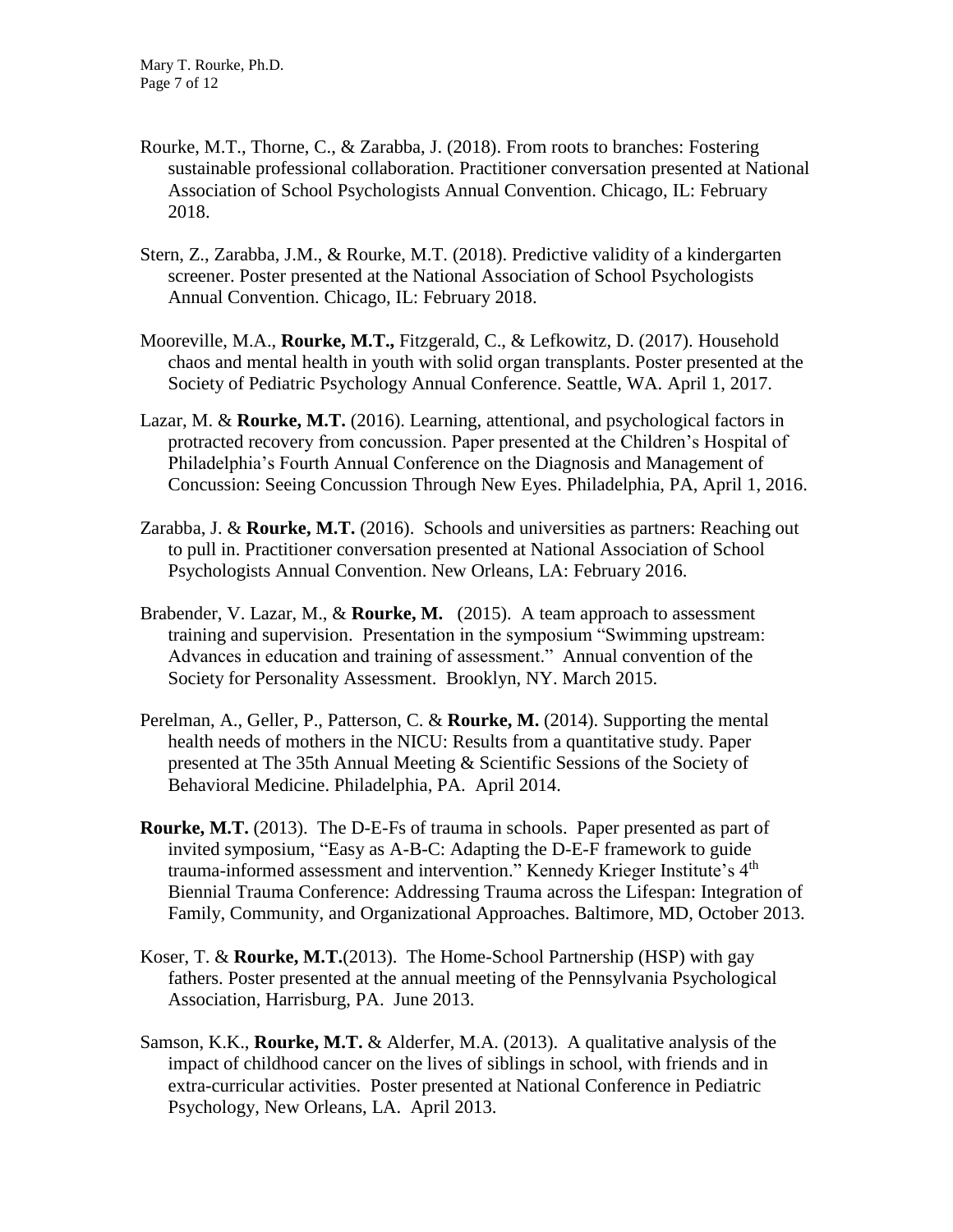- Rourke, M.T., Thorne, C., & Zarabba, J. (2018). From roots to branches: Fostering sustainable professional collaboration. Practitioner conversation presented at National Association of School Psychologists Annual Convention. Chicago, IL: February 2018.
- Stern, Z., Zarabba, J.M., & Rourke, M.T. (2018). Predictive validity of a kindergarten screener. Poster presented at the National Association of School Psychologists Annual Convention. Chicago, IL: February 2018.
- Mooreville, M.A., **Rourke, M.T.,** Fitzgerald, C., & Lefkowitz, D. (2017). Household chaos and mental health in youth with solid organ transplants. Poster presented at the Society of Pediatric Psychology Annual Conference. Seattle, WA. April 1, 2017.
- Lazar, M. & **Rourke, M.T.** (2016). Learning, attentional, and psychological factors in protracted recovery from concussion. Paper presented at the Children's Hospital of Philadelphia's Fourth Annual Conference on the Diagnosis and Management of Concussion: Seeing Concussion Through New Eyes. Philadelphia, PA, April 1, 2016.
- Zarabba, J. & **Rourke, M.T.** (2016). Schools and universities as partners: Reaching out to pull in. Practitioner conversation presented at National Association of School Psychologists Annual Convention. New Orleans, LA: February 2016.
- Brabender, V. Lazar, M., & **Rourke, M.** (2015). A team approach to assessment training and supervision. Presentation in the symposium "Swimming upstream: Advances in education and training of assessment." Annual convention of the Society for Personality Assessment. Brooklyn, NY. March 2015.
- Perelman, A., Geller, P., Patterson, C. & **Rourke, M.** (2014). Supporting the mental health needs of mothers in the NICU: Results from a quantitative study. Paper presented at The 35th Annual Meeting & Scientific Sessions of the Society of Behavioral Medicine. Philadelphia, PA. April 2014.
- **Rourke, M.T.** (2013). The D-E-Fs of trauma in schools. Paper presented as part of invited symposium, "Easy as A-B-C: Adapting the D-E-F framework to guide trauma-informed assessment and intervention." Kennedy Krieger Institute's 4<sup>th</sup> Biennial Trauma Conference: Addressing Trauma across the Lifespan: Integration of Family, Community, and Organizational Approaches. Baltimore, MD, October 2013.
- Koser, T. & **Rourke, M.T.**(2013). The Home-School Partnership (HSP) with gay fathers. Poster presented at the annual meeting of the Pennsylvania Psychological Association, Harrisburg, PA. June 2013.
- Samson, K.K., **Rourke, M.T.** & Alderfer, M.A. (2013). A qualitative analysis of the impact of childhood cancer on the lives of siblings in school, with friends and in extra-curricular activities. Poster presented at National Conference in Pediatric Psychology, New Orleans, LA. April 2013.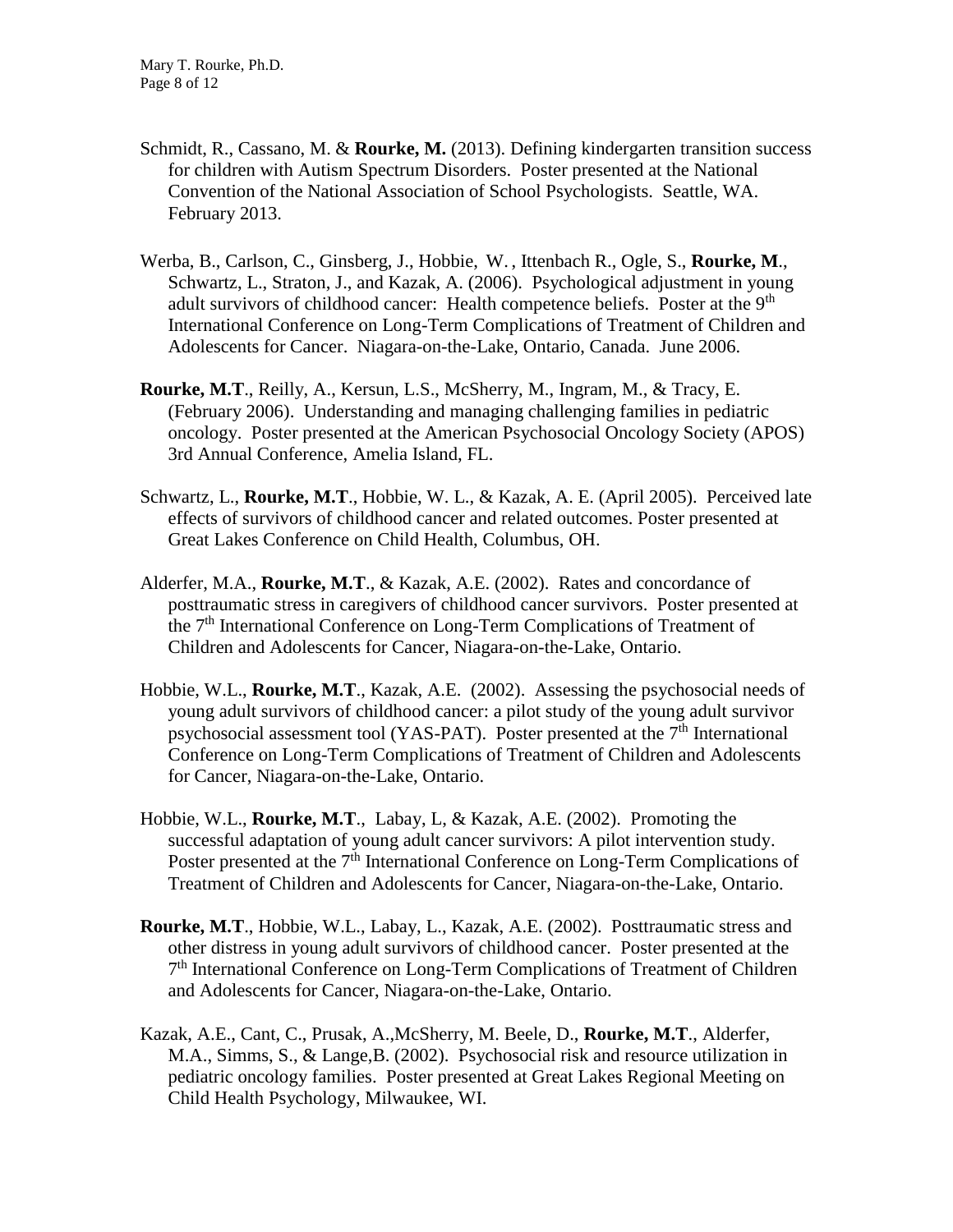- Schmidt, R., Cassano, M. & **Rourke, M.** (2013). Defining kindergarten transition success for children with Autism Spectrum Disorders. Poster presented at the National Convention of the National Association of School Psychologists. Seattle, WA. February 2013.
- Werba, B., Carlson, C., Ginsberg, J., Hobbie, W. , Ittenbach R., Ogle, S., **Rourke, M**., Schwartz, L., Straton, J., and Kazak, A. (2006). Psychological adjustment in young adult survivors of childhood cancer: Health competence beliefs. Poster at the 9<sup>th</sup> International Conference on Long-Term Complications of Treatment of Children and Adolescents for Cancer. Niagara-on-the-Lake, Ontario, Canada. June 2006.
- **Rourke, M.T**., Reilly, A., Kersun, L.S., McSherry, M., Ingram, M., & Tracy, E. (February 2006). Understanding and managing challenging families in pediatric oncology. Poster presented at the American Psychosocial Oncology Society (APOS) 3rd Annual Conference, Amelia Island, FL.
- Schwartz, L., **Rourke, M.T**., Hobbie, W. L., & Kazak, A. E. (April 2005). Perceived late effects of survivors of childhood cancer and related outcomes. Poster presented at Great Lakes Conference on Child Health, Columbus, OH.
- Alderfer, M.A., **Rourke, M.T**., & Kazak, A.E. (2002). Rates and concordance of posttraumatic stress in caregivers of childhood cancer survivors. Poster presented at the 7<sup>th</sup> International Conference on Long-Term Complications of Treatment of Children and Adolescents for Cancer, Niagara-on-the-Lake, Ontario.
- Hobbie, W.L., **Rourke, M.T**., Kazak, A.E. (2002). Assessing the psychosocial needs of young adult survivors of childhood cancer: a pilot study of the young adult survivor psychosocial assessment tool (YAS-PAT). Poster presented at the  $7<sup>th</sup>$  International Conference on Long-Term Complications of Treatment of Children and Adolescents for Cancer, Niagara-on-the-Lake, Ontario.
- Hobbie, W.L., **Rourke, M.T**., Labay, L, & Kazak, A.E. (2002). Promoting the successful adaptation of young adult cancer survivors: A pilot intervention study. Poster presented at the 7<sup>th</sup> International Conference on Long-Term Complications of Treatment of Children and Adolescents for Cancer, Niagara-on-the-Lake, Ontario.
- **Rourke, M.T**., Hobbie, W.L., Labay, L., Kazak, A.E. (2002). Posttraumatic stress and other distress in young adult survivors of childhood cancer. Poster presented at the 7<sup>th</sup> International Conference on Long-Term Complications of Treatment of Children and Adolescents for Cancer, Niagara-on-the-Lake, Ontario.
- Kazak, A.E., Cant, C., Prusak, A.,McSherry, M. Beele, D., **Rourke, M.T**., Alderfer, M.A., Simms, S., & Lange,B. (2002). Psychosocial risk and resource utilization in pediatric oncology families. Poster presented at Great Lakes Regional Meeting on Child Health Psychology, Milwaukee, WI.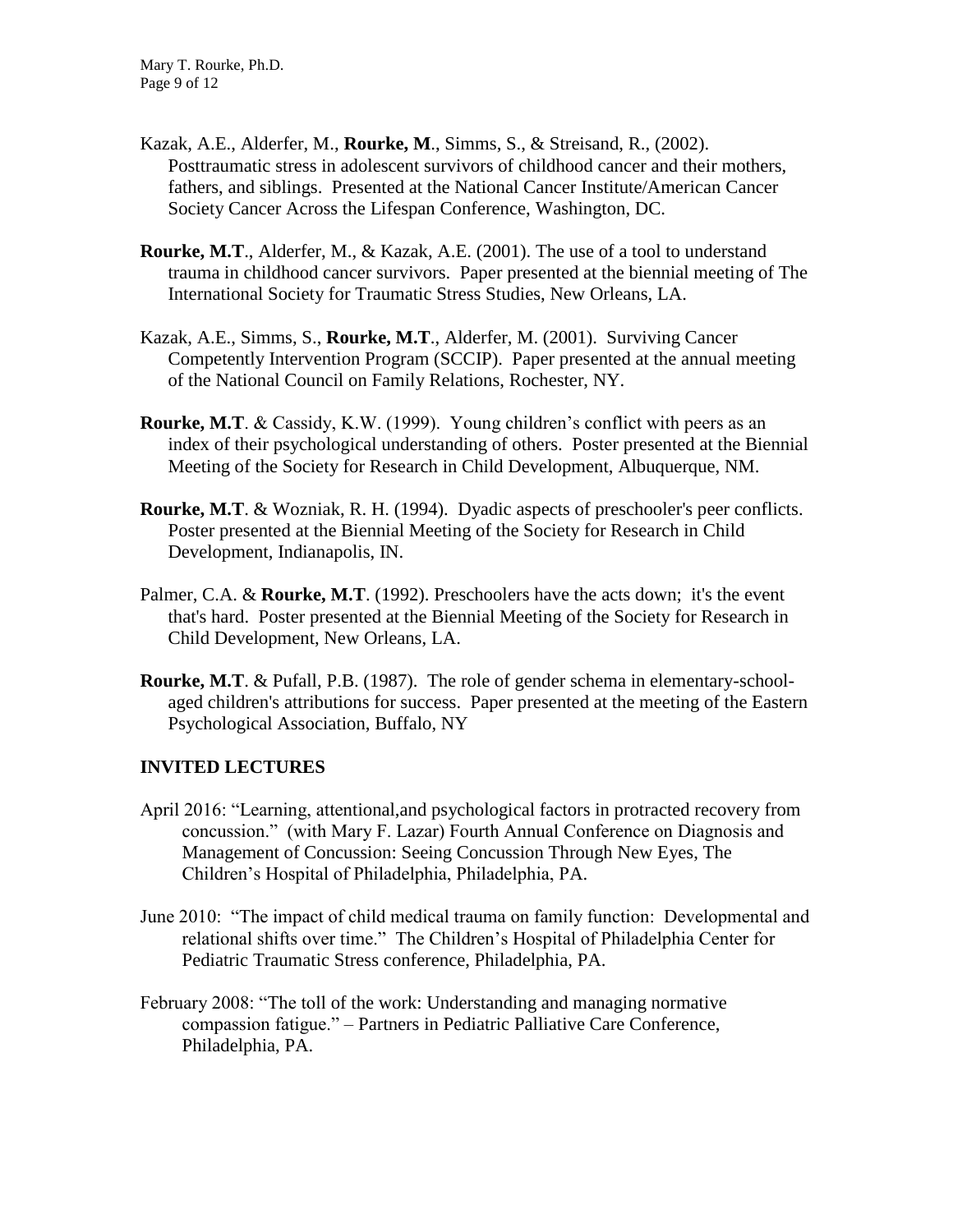- Kazak, A.E., Alderfer, M., **Rourke, M**., Simms, S., & Streisand, R., (2002). Posttraumatic stress in adolescent survivors of childhood cancer and their mothers, fathers, and siblings. Presented at the National Cancer Institute/American Cancer Society Cancer Across the Lifespan Conference, Washington, DC.
- **Rourke, M.T**., Alderfer, M., & Kazak, A.E. (2001). The use of a tool to understand trauma in childhood cancer survivors. Paper presented at the biennial meeting of The International Society for Traumatic Stress Studies, New Orleans, LA.
- Kazak, A.E., Simms, S., **Rourke, M.T**., Alderfer, M. (2001). Surviving Cancer Competently Intervention Program (SCCIP). Paper presented at the annual meeting of the National Council on Family Relations, Rochester, NY.
- **Rourke, M.T**. & Cassidy, K.W. (1999). Young children's conflict with peers as an index of their psychological understanding of others. Poster presented at the Biennial Meeting of the Society for Research in Child Development, Albuquerque, NM.
- **Rourke, M.T**. & Wozniak, R. H. (1994). Dyadic aspects of preschooler's peer conflicts. Poster presented at the Biennial Meeting of the Society for Research in Child Development, Indianapolis, IN.
- Palmer, C.A. & **Rourke, M.T**. (1992). Preschoolers have the acts down; it's the event that's hard. Poster presented at the Biennial Meeting of the Society for Research in Child Development, New Orleans, LA.
- **Rourke, M.T**. & Pufall, P.B. (1987). The role of gender schema in elementary-schoolaged children's attributions for success. Paper presented at the meeting of the Eastern Psychological Association, Buffalo, NY

# **INVITED LECTURES**

- April 2016: "Learning, attentional,and psychological factors in protracted recovery from concussion." (with Mary F. Lazar) Fourth Annual Conference on Diagnosis and Management of Concussion: Seeing Concussion Through New Eyes, The Children's Hospital of Philadelphia, Philadelphia, PA.
- June 2010: "The impact of child medical trauma on family function: Developmental and relational shifts over time." The Children's Hospital of Philadelphia Center for Pediatric Traumatic Stress conference, Philadelphia, PA.
- February 2008: "The toll of the work: Understanding and managing normative compassion fatigue." – Partners in Pediatric Palliative Care Conference, Philadelphia, PA.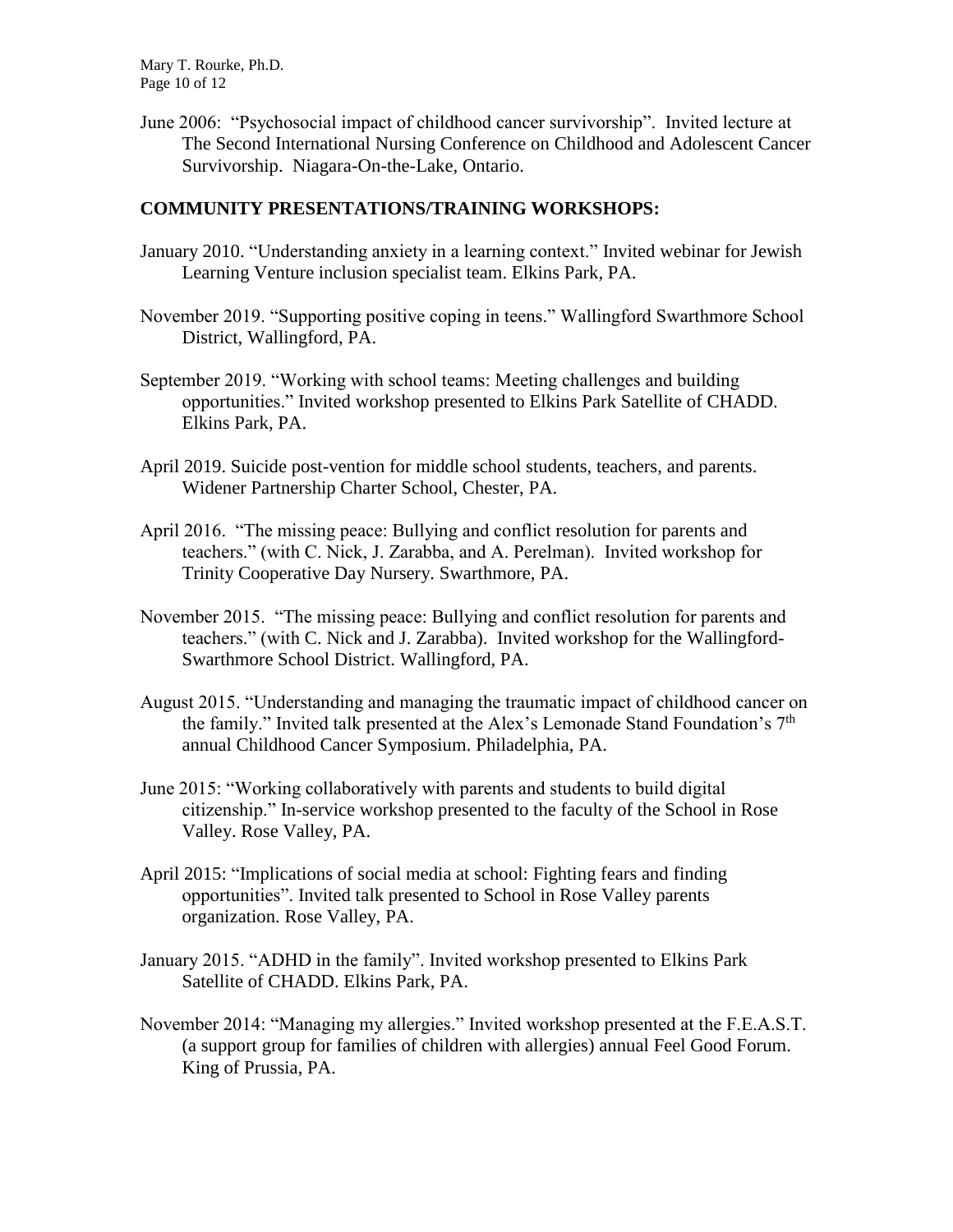Mary T. Rourke, Ph.D. Page 10 of 12

June 2006: "Psychosocial impact of childhood cancer survivorship". Invited lecture at The Second International Nursing Conference on Childhood and Adolescent Cancer Survivorship. Niagara-On-the-Lake, Ontario.

## **COMMUNITY PRESENTATIONS/TRAINING WORKSHOPS:**

- January 2010. "Understanding anxiety in a learning context." Invited webinar for Jewish Learning Venture inclusion specialist team. Elkins Park, PA.
- November 2019. "Supporting positive coping in teens." Wallingford Swarthmore School District, Wallingford, PA.
- September 2019. "Working with school teams: Meeting challenges and building opportunities." Invited workshop presented to Elkins Park Satellite of CHADD. Elkins Park, PA.
- April 2019. Suicide post-vention for middle school students, teachers, and parents. Widener Partnership Charter School, Chester, PA.
- April 2016. "The missing peace: Bullying and conflict resolution for parents and teachers." (with C. Nick, J. Zarabba, and A. Perelman). Invited workshop for Trinity Cooperative Day Nursery. Swarthmore, PA.
- November 2015. "The missing peace: Bullying and conflict resolution for parents and teachers." (with C. Nick and J. Zarabba). Invited workshop for the Wallingford-Swarthmore School District. Wallingford, PA.
- August 2015. "Understanding and managing the traumatic impact of childhood cancer on the family." Invited talk presented at the Alex's Lemonade Stand Foundation's 7<sup>th</sup> annual Childhood Cancer Symposium. Philadelphia, PA.
- June 2015: "Working collaboratively with parents and students to build digital citizenship." In-service workshop presented to the faculty of the School in Rose Valley. Rose Valley, PA.
- April 2015: "Implications of social media at school: Fighting fears and finding opportunities". Invited talk presented to School in Rose Valley parents organization. Rose Valley, PA.
- January 2015. "ADHD in the family". Invited workshop presented to Elkins Park Satellite of CHADD. Elkins Park, PA.
- November 2014: "Managing my allergies." Invited workshop presented at the F.E.A.S.T. (a support group for families of children with allergies) annual Feel Good Forum. King of Prussia, PA.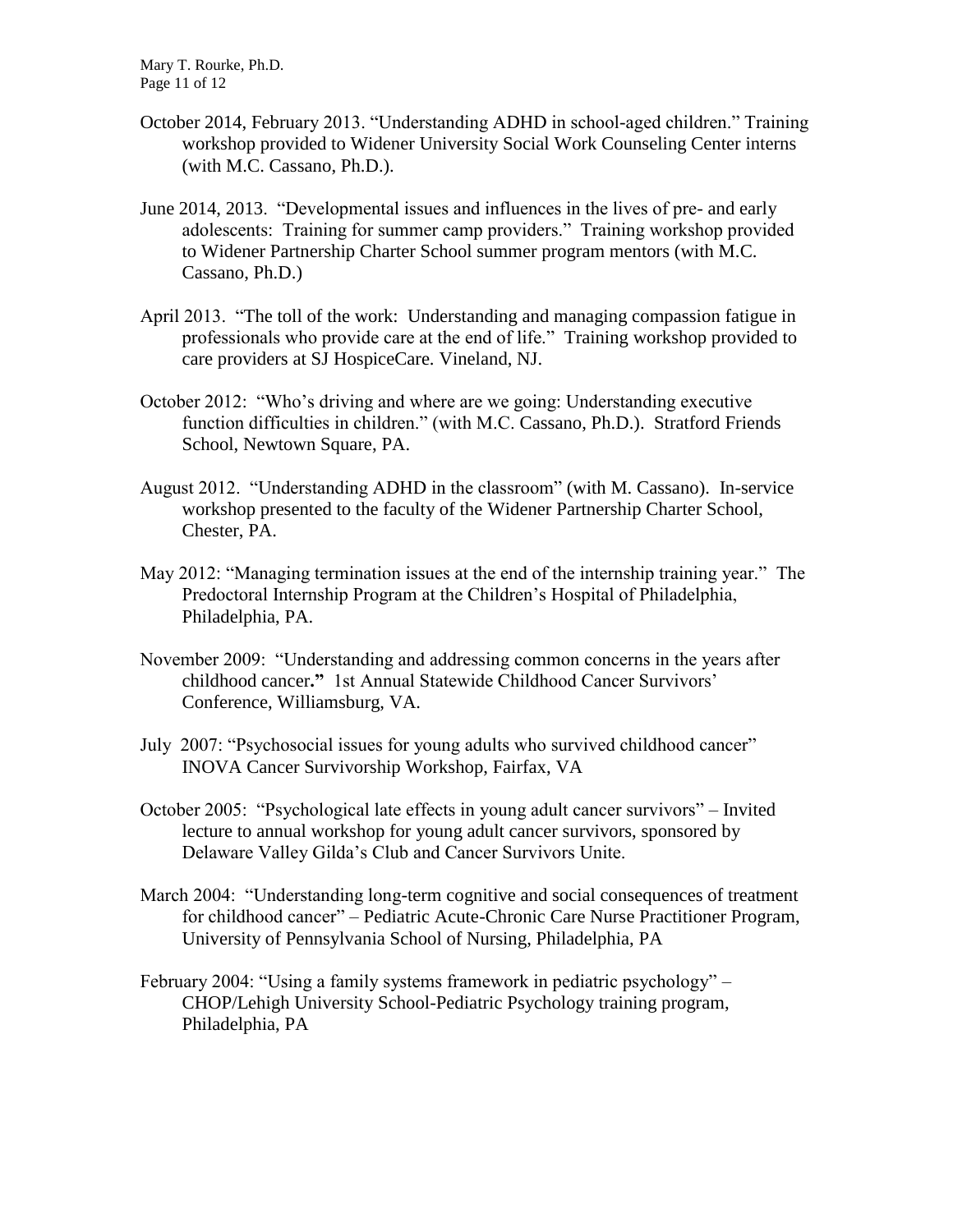Mary T. Rourke, Ph.D. Page 11 of 12

- October 2014, February 2013. "Understanding ADHD in school-aged children." Training workshop provided to Widener University Social Work Counseling Center interns (with M.C. Cassano, Ph.D.).
- June 2014, 2013. "Developmental issues and influences in the lives of pre- and early adolescents: Training for summer camp providers." Training workshop provided to Widener Partnership Charter School summer program mentors (with M.C. Cassano, Ph.D.)
- April 2013. "The toll of the work: Understanding and managing compassion fatigue in professionals who provide care at the end of life." Training workshop provided to care providers at SJ HospiceCare. Vineland, NJ.
- October 2012: "Who's driving and where are we going: Understanding executive function difficulties in children." (with M.C. Cassano, Ph.D.). Stratford Friends School, Newtown Square, PA.
- August 2012. "Understanding ADHD in the classroom" (with M. Cassano). In-service workshop presented to the faculty of the Widener Partnership Charter School, Chester, PA.
- May 2012: "Managing termination issues at the end of the internship training year." The Predoctoral Internship Program at the Children's Hospital of Philadelphia, Philadelphia, PA.
- November 2009: "Understanding and addressing common concerns in the years after childhood cancer**."** 1st Annual Statewide Childhood Cancer Survivors' Conference, Williamsburg, VA.
- July 2007: "Psychosocial issues for young adults who survived childhood cancer" INOVA Cancer Survivorship Workshop, Fairfax, VA
- October 2005: "Psychological late effects in young adult cancer survivors" Invited lecture to annual workshop for young adult cancer survivors, sponsored by Delaware Valley Gilda's Club and Cancer Survivors Unite.
- March 2004: "Understanding long-term cognitive and social consequences of treatment for childhood cancer" – Pediatric Acute-Chronic Care Nurse Practitioner Program, University of Pennsylvania School of Nursing, Philadelphia, PA
- February 2004: "Using a family systems framework in pediatric psychology" CHOP/Lehigh University School-Pediatric Psychology training program, Philadelphia, PA